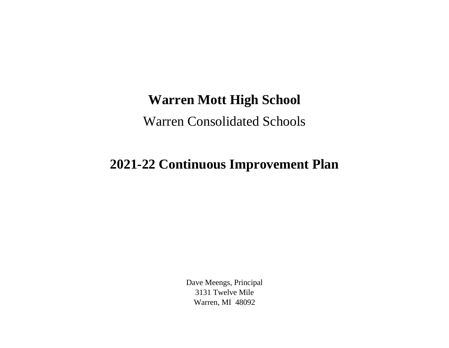## **Warren Mott High School**

Warren Consolidated Schools

## **2021-22 Continuous Improvement Plan**

Dave Meengs, Principal 3131 Twelve Mile Warren, MI 48092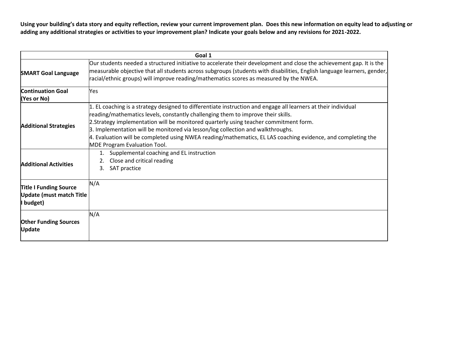**Using your building's data story and equity reflection, review your current improvement plan. Does this new information on equity lead to adjusting or adding any additional strategies or activities to your improvement plan? Indicate your goals below and any revisions for 2021-2022.**

| Goal 1                                                                        |                                                                                                                                                                                                                                                                                                                                                                                                                                                                                                                                      |
|-------------------------------------------------------------------------------|--------------------------------------------------------------------------------------------------------------------------------------------------------------------------------------------------------------------------------------------------------------------------------------------------------------------------------------------------------------------------------------------------------------------------------------------------------------------------------------------------------------------------------------|
| <b>SMART Goal Language</b>                                                    | Our students needed a structured initiative to accelerate their development and close the achievement gap. It is the<br>measurable objective that all students across subgroups (students with disabilities, English language learners, gender,<br>racial/ethnic groups) will improve reading/mathematics scores as measured by the NWEA.                                                                                                                                                                                            |
| <b>Continuation Goal</b><br>(Yes or No)                                       | Yes                                                                                                                                                                                                                                                                                                                                                                                                                                                                                                                                  |
| <b>Additional Strategies</b>                                                  | 1. EL coaching is a strategy designed to differentiate instruction and engage all learners at their individual<br>reading/mathematics levels, constantly challenging them to improve their skills.<br>2.Strategy implementation will be monitored quarterly using teacher commitment form.<br>3. Implementation will be monitored via lesson/log collection and walkthroughs.<br>4. Evaluation will be completed using NWEA reading/mathematics, EL LAS coaching evidence, and completing the<br><b>MDE Program Evaluation Tool.</b> |
| <b>Additional Activities</b>                                                  | Supplemental coaching and EL instruction<br>Close and critical reading<br>SAT practice<br>3.                                                                                                                                                                                                                                                                                                                                                                                                                                         |
| <b>Title I Funding Source</b><br><b>Update (must match Title</b><br>I budget) | N/A                                                                                                                                                                                                                                                                                                                                                                                                                                                                                                                                  |
| <b>Other Funding Sources</b><br><b>Update</b>                                 | N/A                                                                                                                                                                                                                                                                                                                                                                                                                                                                                                                                  |